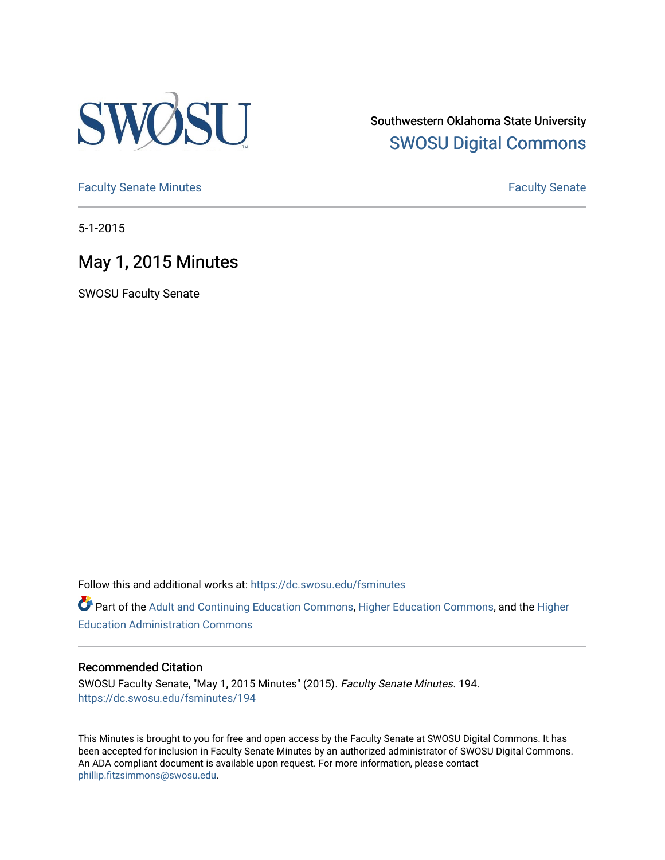

Southwestern Oklahoma State University [SWOSU Digital Commons](https://dc.swosu.edu/) 

[Faculty Senate Minutes](https://dc.swosu.edu/fsminutes) **Faculty** Senate Minutes

5-1-2015

## May 1, 2015 Minutes

SWOSU Faculty Senate

Follow this and additional works at: [https://dc.swosu.edu/fsminutes](https://dc.swosu.edu/fsminutes?utm_source=dc.swosu.edu%2Ffsminutes%2F194&utm_medium=PDF&utm_campaign=PDFCoverPages) 

Part of the [Adult and Continuing Education Commons,](http://network.bepress.com/hgg/discipline/1375?utm_source=dc.swosu.edu%2Ffsminutes%2F194&utm_medium=PDF&utm_campaign=PDFCoverPages) [Higher Education Commons,](http://network.bepress.com/hgg/discipline/1245?utm_source=dc.swosu.edu%2Ffsminutes%2F194&utm_medium=PDF&utm_campaign=PDFCoverPages) and the [Higher](http://network.bepress.com/hgg/discipline/791?utm_source=dc.swosu.edu%2Ffsminutes%2F194&utm_medium=PDF&utm_campaign=PDFCoverPages) [Education Administration Commons](http://network.bepress.com/hgg/discipline/791?utm_source=dc.swosu.edu%2Ffsminutes%2F194&utm_medium=PDF&utm_campaign=PDFCoverPages) 

#### Recommended Citation

SWOSU Faculty Senate, "May 1, 2015 Minutes" (2015). Faculty Senate Minutes. 194. [https://dc.swosu.edu/fsminutes/194](https://dc.swosu.edu/fsminutes/194?utm_source=dc.swosu.edu%2Ffsminutes%2F194&utm_medium=PDF&utm_campaign=PDFCoverPages) 

This Minutes is brought to you for free and open access by the Faculty Senate at SWOSU Digital Commons. It has been accepted for inclusion in Faculty Senate Minutes by an authorized administrator of SWOSU Digital Commons. An ADA compliant document is available upon request. For more information, please contact [phillip.fitzsimmons@swosu.edu](mailto:phillip.fitzsimmons@swosu.edu).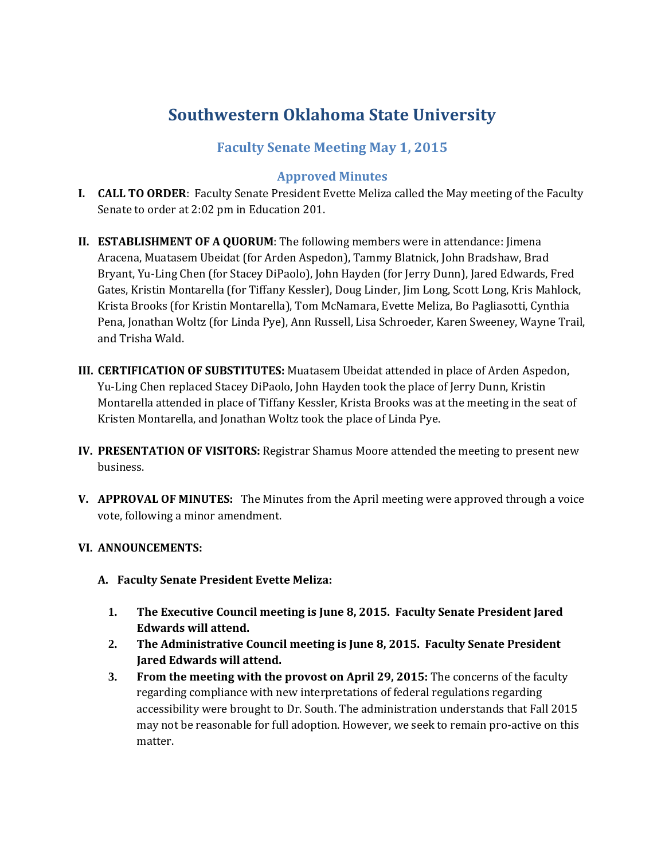# **Southwestern Oklahoma State University**

## **Faculty Senate Meeting May 1, 2015**

## **Approved Minutes**

- **I. CALL TO ORDER**: Faculty Senate President Evette Meliza called the May meeting of the Faculty Senate to order at 2:02 pm in Education 201.
- **II. ESTABLISHMENT OF A QUORUM**: The following members were in attendance: Jimena Aracena, Muatasem Ubeidat (for Arden Aspedon), Tammy Blatnick, John Bradshaw, Brad Bryant, Yu-Ling Chen (for Stacey DiPaolo), John Hayden (for Jerry Dunn), Jared Edwards, Fred Gates, Kristin Montarella (for Tiffany Kessler), Doug Linder, Jim Long, Scott Long, Kris Mahlock, Krista Brooks (for Kristin Montarella), Tom McNamara, Evette Meliza, Bo Pagliasotti, Cynthia Pena, Jonathan Woltz (for Linda Pye), Ann Russell, Lisa Schroeder, Karen Sweeney, Wayne Trail, and Trisha Wald.
- **III. CERTIFICATION OF SUBSTITUTES:** Muatasem Ubeidat attended in place of Arden Aspedon, Yu-Ling Chen replaced Stacey DiPaolo, John Hayden took the place of Jerry Dunn, Kristin Montarella attended in place of Tiffany Kessler, Krista Brooks was at the meeting in the seat of Kristen Montarella, and Jonathan Woltz took the place of Linda Pye.
- **IV. PRESENTATION OF VISITORS:** Registrar Shamus Moore attended the meeting to present new business.
- **V. APPROVAL OF MINUTES:** The Minutes from the April meeting were approved through a voice vote, following a minor amendment.

### **VI. ANNOUNCEMENTS:**

- **A. Faculty Senate President Evette Meliza:**
	- **1. The Executive Council meeting is June 8, 2015. Faculty Senate President Jared Edwards will attend.**
	- **2. The Administrative Council meeting is June 8, 2015. Faculty Senate President Jared Edwards will attend.**
	- **3. From the meeting with the provost on April 29, 2015:** The concerns of the faculty regarding compliance with new interpretations of federal regulations regarding accessibility were brought to Dr. South. The administration understands that Fall 2015 may not be reasonable for full adoption. However, we seek to remain pro-active on this matter.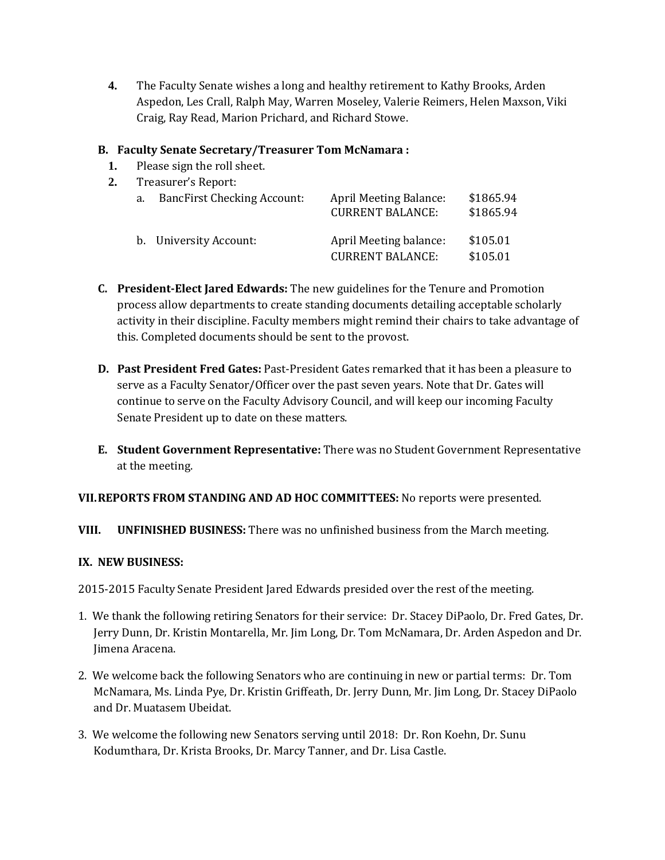**4.** The Faculty Senate wishes a long and healthy retirement to Kathy Brooks, Arden Aspedon, Les Crall, Ralph May, Warren Moseley, Valerie Reimers, Helen Maxson, Viki Craig, Ray Read, Marion Prichard, and Richard Stowe.

## **B. Faculty Senate Secretary/Treasurer Tom McNamara :**

**1.** Please sign the roll sheet.

| Treasurer's Report: |                                    |                                                   |                        |  |  |  |
|---------------------|------------------------------------|---------------------------------------------------|------------------------|--|--|--|
| a.                  | <b>BancFirst Checking Account:</b> | April Meeting Balance:<br><b>CURRENT BALANCE:</b> | \$1865.94<br>\$1865.94 |  |  |  |
|                     | b. University Account:             | April Meeting balance:<br><b>CURRENT BALANCE:</b> | \$105.01<br>\$105.01   |  |  |  |

- **C. President-Elect Jared Edwards:** The new guidelines for the Tenure and Promotion process allow departments to create standing documents detailing acceptable scholarly activity in their discipline. Faculty members might remind their chairs to take advantage of this. Completed documents should be sent to the provost.
- **D. Past President Fred Gates:** Past-President Gates remarked that it has been a pleasure to serve as a Faculty Senator/Officer over the past seven years. Note that Dr. Gates will continue to serve on the Faculty Advisory Council, and will keep our incoming Faculty Senate President up to date on these matters.
- **E. Student Government Representative:** There was no Student Government Representative at the meeting.

### **VII.REPORTS FROM STANDING AND AD HOC COMMITTEES:** No reports were presented.

### **VIII. UNFINISHED BUSINESS:** There was no unfinished business from the March meeting.

#### **IX. NEW BUSINESS:**

2015-2015 Faculty Senate President Jared Edwards presided over the rest of the meeting.

- 1. We thank the following retiring Senators for their service: Dr. Stacey DiPaolo, Dr. Fred Gates, Dr. Jerry Dunn, Dr. Kristin Montarella, Mr. Jim Long, Dr. Tom McNamara, Dr. Arden Aspedon and Dr. Jimena Aracena.
- 2. We welcome back the following Senators who are continuing in new or partial terms: Dr. Tom McNamara, Ms. Linda Pye, Dr. Kristin Griffeath, Dr. Jerry Dunn, Mr. Jim Long, Dr. Stacey DiPaolo and Dr. Muatasem Ubeidat.
- 3. We welcome the following new Senators serving until 2018: Dr. Ron Koehn, Dr. Sunu Kodumthara, Dr. Krista Brooks, Dr. Marcy Tanner, and Dr. Lisa Castle.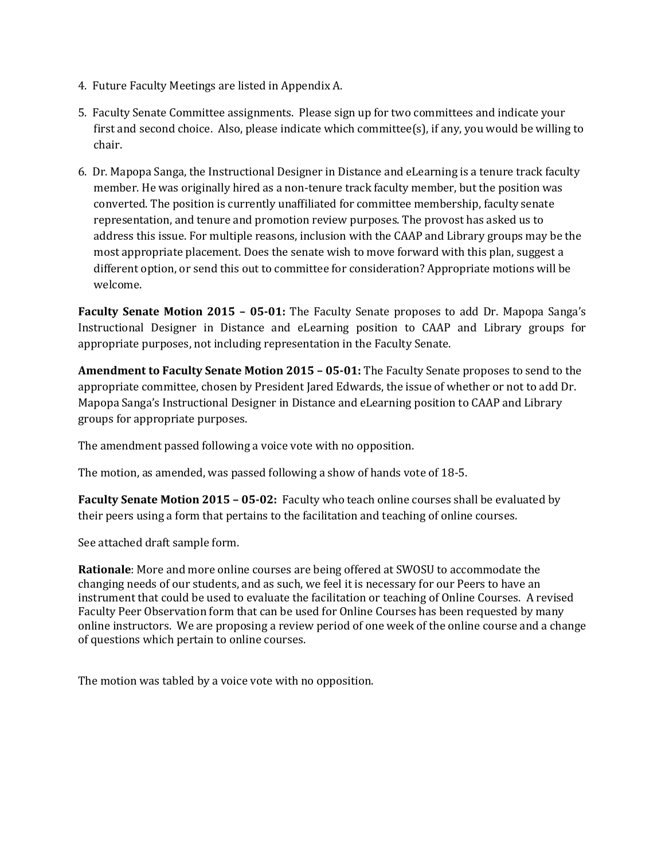- 4. Future Faculty Meetings are listed in Appendix A.
- 5. Faculty Senate Committee assignments. Please sign up for two committees and indicate your first and second choice. Also, please indicate which committee(s), if any, you would be willing to chair.
- 6. Dr. Mapopa Sanga, the Instructional Designer in Distance and eLearning is a tenure track faculty member. He was originally hired as a non-tenure track faculty member, but the position was converted. The position is currently unaffiliated for committee membership, faculty senate representation, and tenure and promotion review purposes. The provost has asked us to address this issue. For multiple reasons, inclusion with the CAAP and Library groups may be the most appropriate placement. Does the senate wish to move forward with this plan, suggest a different option, or send this out to committee for consideration? Appropriate motions will be welcome.

**Faculty Senate Motion 2015 – 05-01:** The Faculty Senate proposes to add Dr. Mapopa Sanga's Instructional Designer in Distance and eLearning position to CAAP and Library groups for appropriate purposes, not including representation in the Faculty Senate.

**Amendment to Faculty Senate Motion 2015 – 05-01:** The Faculty Senate proposes to send to the appropriate committee, chosen by President Jared Edwards, the issue of whether or not to add Dr. Mapopa Sanga's Instructional Designer in Distance and eLearning position to CAAP and Library groups for appropriate purposes.

The amendment passed following a voice vote with no opposition.

The motion, as amended, was passed following a show of hands vote of 18-5.

**Faculty Senate Motion 2015 – 05-02:** Faculty who teach online courses shall be evaluated by their peers using a form that pertains to the facilitation and teaching of online courses.

See attached draft sample form.

**Rationale**: More and more online courses are being offered at SWOSU to accommodate the changing needs of our students, and as such, we feel it is necessary for our Peers to have an instrument that could be used to evaluate the facilitation or teaching of Online Courses. A revised Faculty Peer Observation form that can be used for Online Courses has been requested by many online instructors. We are proposing a review period of one week of the online course and a change of questions which pertain to online courses.

The motion was tabled by a voice vote with no opposition.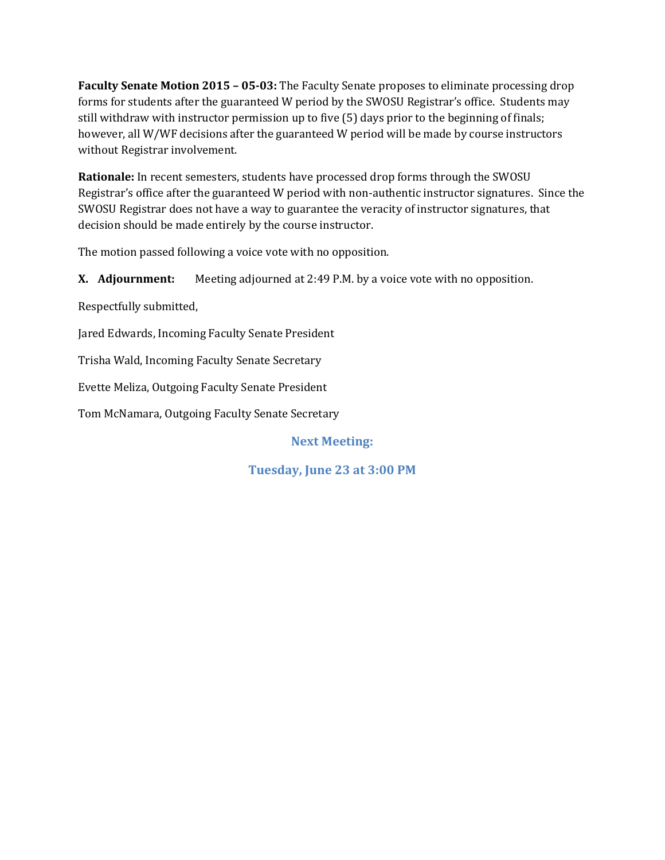**Faculty Senate Motion 2015 – 05-03:** The Faculty Senate proposes to eliminate processing drop forms for students after the guaranteed W period by the SWOSU Registrar's office. Students may still withdraw with instructor permission up to five (5) days prior to the beginning of finals; however, all W/WF decisions after the guaranteed W period will be made by course instructors without Registrar involvement.

**Rationale:** In recent semesters, students have processed drop forms through the SWOSU Registrar's office after the guaranteed W period with non-authentic instructor signatures. Since the SWOSU Registrar does not have a way to guarantee the veracity of instructor signatures, that decision should be made entirely by the course instructor.

The motion passed following a voice vote with no opposition.

**X. Adjournment:** Meeting adjourned at 2:49 P.M. by a voice vote with no opposition.

Respectfully submitted,

Jared Edwards, Incoming Faculty Senate President

Trisha Wald, Incoming Faculty Senate Secretary

Evette Meliza, Outgoing Faculty Senate President

Tom McNamara, Outgoing Faculty Senate Secretary

**Next Meeting:**

**Tuesday, June 23 at 3:00 PM**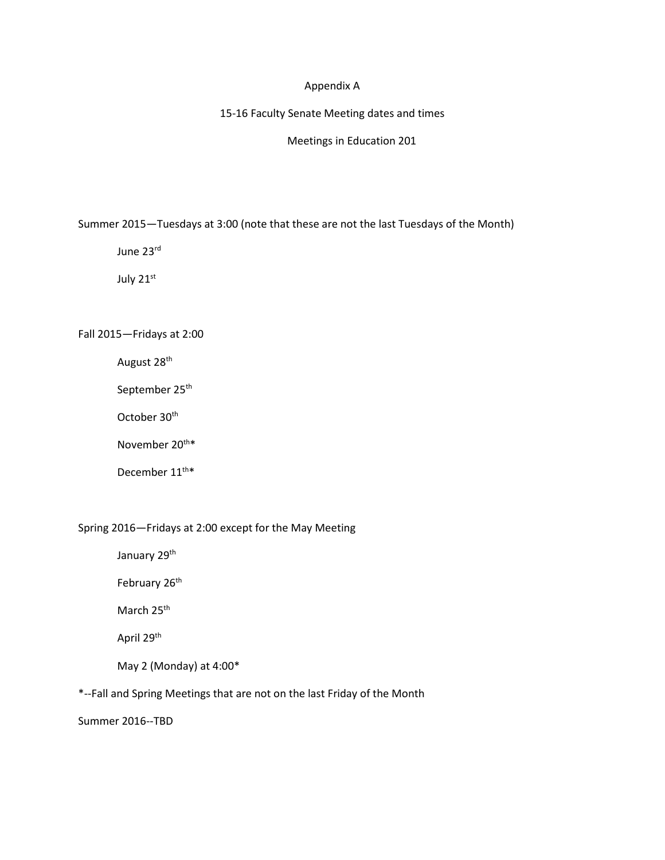#### Appendix A

15-16 Faculty Senate Meeting dates and times

Meetings in Education 201

Summer 2015—Tuesdays at 3:00 (note that these are not the last Tuesdays of the Month)

June 23rd

July 21st

Fall 2015—Fridays at 2:00

August 28<sup>th</sup>

September 25<sup>th</sup>

October 30<sup>th</sup>

November 20<sup>th\*</sup>

December 11<sup>th\*</sup>

#### Spring 2016—Fridays at 2:00 except for the May Meeting

January 29<sup>th</sup>

February 26<sup>th</sup>

March 25<sup>th</sup>

April 29<sup>th</sup>

May 2 (Monday) at 4:00\*

\*--Fall and Spring Meetings that are not on the last Friday of the Month

Summer 2016--TBD